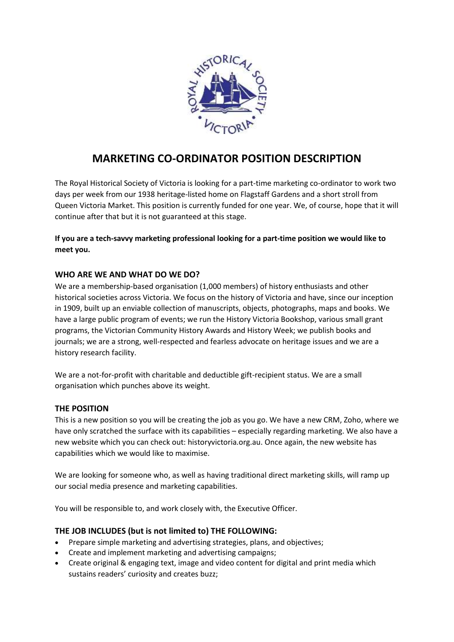

# **MARKETING CO-ORDINATOR POSITION DESCRIPTION**

The Royal Historical Society of Victoria is looking for a part-time marketing co-ordinator to work two days per week from our 1938 heritage-listed home on Flagstaff Gardens and a short stroll from Queen Victoria Market. This position is currently funded for one year. We, of course, hope that it will continue after that but it is not guaranteed at this stage.

## **If you are a tech-savvy marketing professional looking for a part-time position we would like to meet you.**

## **WHO ARE WE AND WHAT DO WE DO?**

We are a membership-based organisation (1,000 members) of history enthusiasts and other historical societies across Victoria. We focus on the history of Victoria and have, since our inception in 1909, built up an enviable collection of manuscripts, objects, photographs, maps and books. We have a large public program of events; we run the History Victoria Bookshop, various small grant programs, the Victorian Community History Awards and History Week; we publish books and journals; we are a strong, well-respected and fearless advocate on heritage issues and we are a history research facility.

We are a not-for-profit with charitable and deductible gift-recipient status. We are a small organisation which punches above its weight.

#### **THE POSITION**

This is a new position so you will be creating the job as you go. We have a new CRM, Zoho, where we have only scratched the surface with its capabilities – especially regarding marketing. We also have a new website which you can check out: historyvictoria.org.au. Once again, the new website has capabilities which we would like to maximise.

We are looking for someone who, as well as having traditional direct marketing skills, will ramp up our social media presence and marketing capabilities.

You will be responsible to, and work closely with, the Executive Officer.

#### **THE JOB INCLUDES (but is not limited to) THE FOLLOWING:**

- Prepare simple marketing and advertising strategies, plans, and objectives;
- Create and implement marketing and advertising campaigns;
- Create original & engaging text, image and video content for digital and print media which sustains readers' curiosity and creates buzz;